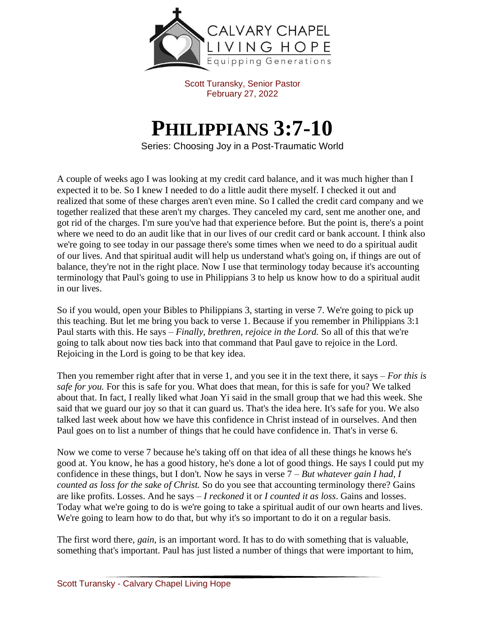

Scott Turansky, Senior Pastor February 27, 2022

## **PHILIPPIANS 3:7-10**

Series: Choosing Joy in a Post-Traumatic World

A couple of weeks ago I was looking at my credit card balance, and it was much higher than I expected it to be. So I knew I needed to do a little audit there myself. I checked it out and realized that some of these charges aren't even mine. So I called the credit card company and we together realized that these aren't my charges. They canceled my card, sent me another one, and got rid of the charges. I'm sure you've had that experience before. But the point is, there's a point where we need to do an audit like that in our lives of our credit card or bank account. I think also we're going to see today in our passage there's some times when we need to do a spiritual audit of our lives. And that spiritual audit will help us understand what's going on, if things are out of balance, they're not in the right place. Now I use that terminology today because it's accounting terminology that Paul's going to use in Philippians 3 to help us know how to do a spiritual audit in our lives.

So if you would, open your Bibles to Philippians 3, starting in verse 7. We're going to pick up this teaching. But let me bring you back to verse 1. Because if you remember in Philippians 3:1 Paul starts with this. He says – *Finally, brethren, rejoice in the Lord.* So all of this that we're going to talk about now ties back into that command that Paul gave to rejoice in the Lord. Rejoicing in the Lord is going to be that key idea.

Then you remember right after that in verse 1, and you see it in the text there, it says – *For this is safe for you.* For this is safe for you. What does that mean, for this is safe for you? We talked about that. In fact, I really liked what Joan Yi said in the small group that we had this week. She said that we guard our joy so that it can guard us. That's the idea here. It's safe for you. We also talked last week about how we have this confidence in Christ instead of in ourselves. And then Paul goes on to list a number of things that he could have confidence in. That's in verse 6.

Now we come to verse 7 because he's taking off on that idea of all these things he knows he's good at. You know, he has a good history, he's done a lot of good things. He says I could put my confidence in these things, but I don't. Now he says in verse 7 – *But whatever gain I had, I counted as loss for the sake of Christ.* So do you see that accounting terminology there? Gains are like profits. Losses. And he says – *I reckoned* it or *I counted it as loss*. Gains and losses. Today what we're going to do is we're going to take a spiritual audit of our own hearts and lives. We're going to learn how to do that, but why it's so important to do it on a regular basis.

The first word there, *gain*, is an important word. It has to do with something that is valuable, something that's important. Paul has just listed a number of things that were important to him,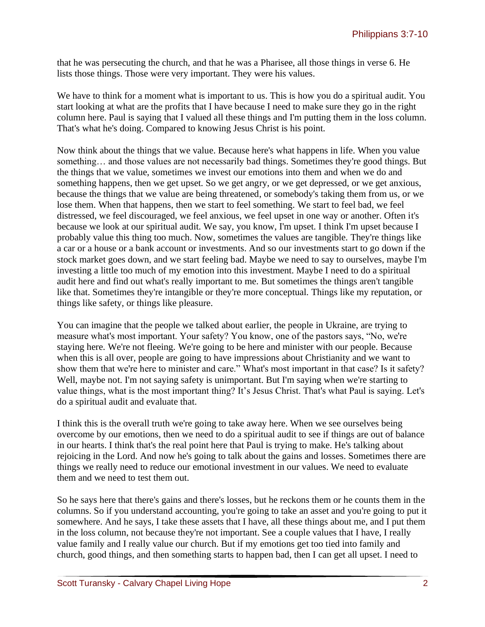that he was persecuting the church, and that he was a Pharisee, all those things in verse 6. He lists those things. Those were very important. They were his values.

We have to think for a moment what is important to us. This is how you do a spiritual audit. You start looking at what are the profits that I have because I need to make sure they go in the right column here. Paul is saying that I valued all these things and I'm putting them in the loss column. That's what he's doing. Compared to knowing Jesus Christ is his point.

Now think about the things that we value. Because here's what happens in life. When you value something… and those values are not necessarily bad things. Sometimes they're good things. But the things that we value, sometimes we invest our emotions into them and when we do and something happens, then we get upset. So we get angry, or we get depressed, or we get anxious, because the things that we value are being threatened, or somebody's taking them from us, or we lose them. When that happens, then we start to feel something. We start to feel bad, we feel distressed, we feel discouraged, we feel anxious, we feel upset in one way or another. Often it's because we look at our spiritual audit. We say, you know, I'm upset. I think I'm upset because I probably value this thing too much. Now, sometimes the values are tangible. They're things like a car or a house or a bank account or investments. And so our investments start to go down if the stock market goes down, and we start feeling bad. Maybe we need to say to ourselves, maybe I'm investing a little too much of my emotion into this investment. Maybe I need to do a spiritual audit here and find out what's really important to me. But sometimes the things aren't tangible like that. Sometimes they're intangible or they're more conceptual. Things like my reputation, or things like safety, or things like pleasure.

You can imagine that the people we talked about earlier, the people in Ukraine, are trying to measure what's most important. Your safety? You know, one of the pastors says, "No, we're staying here. We're not fleeing. We're going to be here and minister with our people. Because when this is all over, people are going to have impressions about Christianity and we want to show them that we're here to minister and care." What's most important in that case? Is it safety? Well, maybe not. I'm not saying safety is unimportant. But I'm saying when we're starting to value things, what is the most important thing? It's Jesus Christ. That's what Paul is saying. Let's do a spiritual audit and evaluate that.

I think this is the overall truth we're going to take away here. When we see ourselves being overcome by our emotions, then we need to do a spiritual audit to see if things are out of balance in our hearts. I think that's the real point here that Paul is trying to make. He's talking about rejoicing in the Lord. And now he's going to talk about the gains and losses. Sometimes there are things we really need to reduce our emotional investment in our values. We need to evaluate them and we need to test them out.

So he says here that there's gains and there's losses, but he reckons them or he counts them in the columns. So if you understand accounting, you're going to take an asset and you're going to put it somewhere. And he says, I take these assets that I have, all these things about me, and I put them in the loss column, not because they're not important. See a couple values that I have, I really value family and I really value our church. But if my emotions get too tied into family and church, good things, and then something starts to happen bad, then I can get all upset. I need to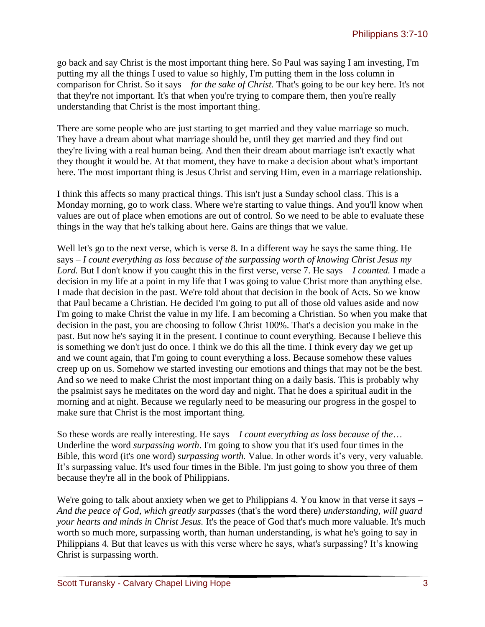go back and say Christ is the most important thing here. So Paul was saying I am investing, I'm putting my all the things I used to value so highly, I'm putting them in the loss column in comparison for Christ. So it says – *for the sake of Christ.* That's going to be our key here. It's not that they're not important. It's that when you're trying to compare them, then you're really understanding that Christ is the most important thing.

There are some people who are just starting to get married and they value marriage so much. They have a dream about what marriage should be, until they get married and they find out they're living with a real human being. And then their dream about marriage isn't exactly what they thought it would be. At that moment, they have to make a decision about what's important here. The most important thing is Jesus Christ and serving Him, even in a marriage relationship.

I think this affects so many practical things. This isn't just a Sunday school class. This is a Monday morning, go to work class. Where we're starting to value things. And you'll know when values are out of place when emotions are out of control. So we need to be able to evaluate these things in the way that he's talking about here. Gains are things that we value.

Well let's go to the next verse, which is verse 8. In a different way he says the same thing. He says – *I count everything as loss because of the surpassing worth of knowing Christ Jesus my Lord.* But I don't know if you caught this in the first verse, verse 7. He says – *I counted.* I made a decision in my life at a point in my life that I was going to value Christ more than anything else. I made that decision in the past. We're told about that decision in the book of Acts. So we know that Paul became a Christian. He decided I'm going to put all of those old values aside and now I'm going to make Christ the value in my life. I am becoming a Christian. So when you make that decision in the past, you are choosing to follow Christ 100%. That's a decision you make in the past. But now he's saying it in the present. I continue to count everything. Because I believe this is something we don't just do once. I think we do this all the time. I think every day we get up and we count again, that I'm going to count everything a loss. Because somehow these values creep up on us. Somehow we started investing our emotions and things that may not be the best. And so we need to make Christ the most important thing on a daily basis. This is probably why the psalmist says he meditates on the word day and night. That he does a spiritual audit in the morning and at night. Because we regularly need to be measuring our progress in the gospel to make sure that Christ is the most important thing.

So these words are really interesting. He says – *I count everything as loss because of the*… Underline the word *surpassing worth*. I'm going to show you that it's used four times in the Bible, this word (it's one word) *surpassing worth.* Value. In other words it's very, very valuable. It's surpassing value. It's used four times in the Bible. I'm just going to show you three of them because they're all in the book of Philippians.

We're going to talk about anxiety when we get to Philippians 4. You know in that verse it says – *And the peace of God, which greatly surpasses* (that's the word there) *understanding, will guard your hearts and minds in Christ Jesus.* It's the peace of God that's much more valuable. It's much worth so much more, surpassing worth, than human understanding, is what he's going to say in Philippians 4. But that leaves us with this verse where he says, what's surpassing? It's knowing Christ is surpassing worth.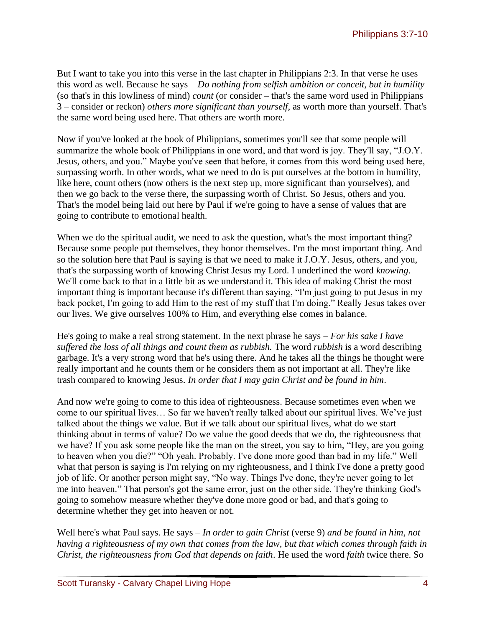But I want to take you into this verse in the last chapter in Philippians 2:3. In that verse he uses this word as well. Because he says – *Do nothing from selfish ambition or conceit, but in humility* (so that's in this lowliness of mind) *count* (or consider – that's the same word used in Philippians 3 – consider or reckon) *others more significant than yourself*, as worth more than yourself. That's the same word being used here. That others are worth more.

Now if you've looked at the book of Philippians, sometimes you'll see that some people will summarize the whole book of Philippians in one word, and that word is joy. They'll say, "J.O.Y. Jesus, others, and you." Maybe you've seen that before, it comes from this word being used here, surpassing worth. In other words, what we need to do is put ourselves at the bottom in humility, like here, count others (now others is the next step up, more significant than yourselves), and then we go back to the verse there, the surpassing worth of Christ. So Jesus, others and you. That's the model being laid out here by Paul if we're going to have a sense of values that are going to contribute to emotional health.

When we do the spiritual audit, we need to ask the question, what's the most important thing? Because some people put themselves, they honor themselves. I'm the most important thing. And so the solution here that Paul is saying is that we need to make it J.O.Y. Jesus, others, and you, that's the surpassing worth of knowing Christ Jesus my Lord. I underlined the word *knowing*. We'll come back to that in a little bit as we understand it. This idea of making Christ the most important thing is important because it's different than saying, "I'm just going to put Jesus in my back pocket, I'm going to add Him to the rest of my stuff that I'm doing." Really Jesus takes over our lives. We give ourselves 100% to Him, and everything else comes in balance.

He's going to make a real strong statement. In the next phrase he says – *For his sake I have suffered the loss of all things and count them as rubbish.* The word *rubbish* is a word describing garbage. It's a very strong word that he's using there. And he takes all the things he thought were really important and he counts them or he considers them as not important at all. They're like trash compared to knowing Jesus. *In order that I may gain Christ and be found in him*.

And now we're going to come to this idea of righteousness. Because sometimes even when we come to our spiritual lives… So far we haven't really talked about our spiritual lives. We've just talked about the things we value. But if we talk about our spiritual lives, what do we start thinking about in terms of value? Do we value the good deeds that we do, the righteousness that we have? If you ask some people like the man on the street, you say to him, "Hey, are you going to heaven when you die?" "Oh yeah. Probably. I've done more good than bad in my life." Well what that person is saying is I'm relying on my righteousness, and I think I've done a pretty good job of life. Or another person might say, "No way. Things I've done, they're never going to let me into heaven." That person's got the same error, just on the other side. They're thinking God's going to somehow measure whether they've done more good or bad, and that's going to determine whether they get into heaven or not.

Well here's what Paul says. He says – *In order to gain Christ* (verse 9) *and be found in him, not having a righteousness of my own that comes from the law, but that which comes through faith in Christ, the righteousness from God that depends on faith*. He used the word *faith* twice there. So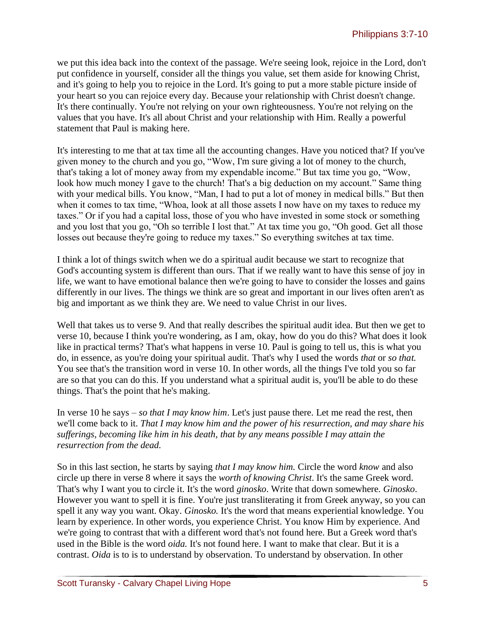we put this idea back into the context of the passage. We're seeing look, rejoice in the Lord, don't put confidence in yourself, consider all the things you value, set them aside for knowing Christ, and it's going to help you to rejoice in the Lord. It's going to put a more stable picture inside of your heart so you can rejoice every day. Because your relationship with Christ doesn't change. It's there continually. You're not relying on your own righteousness. You're not relying on the values that you have. It's all about Christ and your relationship with Him. Really a powerful statement that Paul is making here.

It's interesting to me that at tax time all the accounting changes. Have you noticed that? If you've given money to the church and you go, "Wow, I'm sure giving a lot of money to the church, that's taking a lot of money away from my expendable income." But tax time you go, "Wow, look how much money I gave to the church! That's a big deduction on my account." Same thing with your medical bills. You know, "Man, I had to put a lot of money in medical bills." But then when it comes to tax time, "Whoa, look at all those assets I now have on my taxes to reduce my taxes." Or if you had a capital loss, those of you who have invested in some stock or something and you lost that you go, "Oh so terrible I lost that." At tax time you go, "Oh good. Get all those losses out because they're going to reduce my taxes." So everything switches at tax time.

I think a lot of things switch when we do a spiritual audit because we start to recognize that God's accounting system is different than ours. That if we really want to have this sense of joy in life, we want to have emotional balance then we're going to have to consider the losses and gains differently in our lives. The things we think are so great and important in our lives often aren't as big and important as we think they are. We need to value Christ in our lives.

Well that takes us to verse 9. And that really describes the spiritual audit idea. But then we get to verse 10, because I think you're wondering, as I am, okay, how do you do this? What does it look like in practical terms? That's what happens in verse 10. Paul is going to tell us, this is what you do, in essence, as you're doing your spiritual audit. That's why I used the words *that* or *so that.* You see that's the transition word in verse 10. In other words, all the things I've told you so far are so that you can do this. If you understand what a spiritual audit is, you'll be able to do these things. That's the point that he's making.

In verse 10 he says – *so that I may know him*. Let's just pause there. Let me read the rest, then we'll come back to it. *That I may know him and the power of his resurrection, and may share his sufferings, becoming like him in his death, that by any means possible I may attain the resurrection from the dead.* 

So in this last section, he starts by saying *that I may know him.* Circle the word *know* and also circle up there in verse 8 where it says the *worth of knowing Christ*. It's the same Greek word. That's why I want you to circle it. It's the word *ginosko*. Write that down somewhere. *Ginosko*. However you want to spell it is fine. You're just transliterating it from Greek anyway, so you can spell it any way you want. Okay. *Ginosko.* It's the word that means experiential knowledge. You learn by experience. In other words, you experience Christ. You know Him by experience. And we're going to contrast that with a different word that's not found here. But a Greek word that's used in the Bible is the word *oida.* It's not found here. I want to make that clear. But it is a contrast. *Oida* is to is to understand by observation. To understand by observation. In other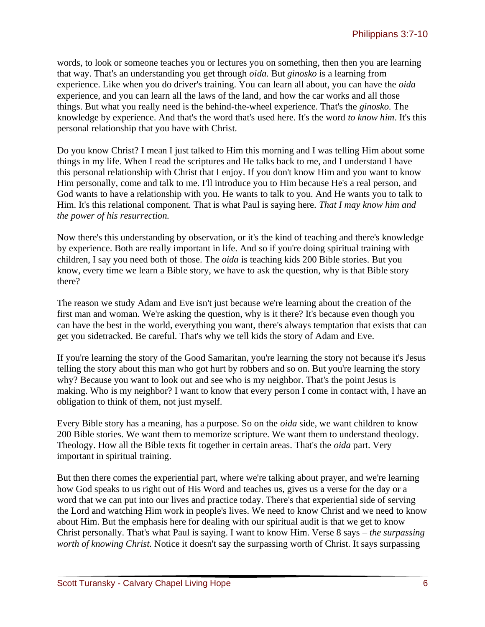words, to look or someone teaches you or lectures you on something, then then you are learning that way. That's an understanding you get through *oida.* But *ginosko* is a learning from experience. Like when you do driver's training. You can learn all about, you can have the *oida* experience, and you can learn all the laws of the land, and how the car works and all those things. But what you really need is the behind-the-wheel experience. That's the *ginosko.* The knowledge by experience. And that's the word that's used here. It's the word *to know him*. It's this personal relationship that you have with Christ.

Do you know Christ? I mean I just talked to Him this morning and I was telling Him about some things in my life. When I read the scriptures and He talks back to me, and I understand I have this personal relationship with Christ that I enjoy. If you don't know Him and you want to know Him personally, come and talk to me. I'll introduce you to Him because He's a real person, and God wants to have a relationship with you. He wants to talk to you. And He wants you to talk to Him. It's this relational component. That is what Paul is saying here. *That I may know him and the power of his resurrection.*

Now there's this understanding by observation, or it's the kind of teaching and there's knowledge by experience. Both are really important in life. And so if you're doing spiritual training with children, I say you need both of those. The *oida* is teaching kids 200 Bible stories. But you know, every time we learn a Bible story, we have to ask the question, why is that Bible story there?

The reason we study Adam and Eve isn't just because we're learning about the creation of the first man and woman. We're asking the question, why is it there? It's because even though you can have the best in the world, everything you want, there's always temptation that exists that can get you sidetracked. Be careful. That's why we tell kids the story of Adam and Eve.

If you're learning the story of the Good Samaritan, you're learning the story not because it's Jesus telling the story about this man who got hurt by robbers and so on. But you're learning the story why? Because you want to look out and see who is my neighbor. That's the point Jesus is making. Who is my neighbor? I want to know that every person I come in contact with, I have an obligation to think of them, not just myself.

Every Bible story has a meaning, has a purpose. So on the *oida* side, we want children to know 200 Bible stories. We want them to memorize scripture. We want them to understand theology. Theology. How all the Bible texts fit together in certain areas. That's the *oida* part. Very important in spiritual training.

But then there comes the experiential part, where we're talking about prayer, and we're learning how God speaks to us right out of His Word and teaches us, gives us a verse for the day or a word that we can put into our lives and practice today. There's that experiential side of serving the Lord and watching Him work in people's lives. We need to know Christ and we need to know about Him. But the emphasis here for dealing with our spiritual audit is that we get to know Christ personally. That's what Paul is saying. I want to know Him. Verse 8 says – *the surpassing worth of knowing Christ.* Notice it doesn't say the surpassing worth of Christ. It says surpassing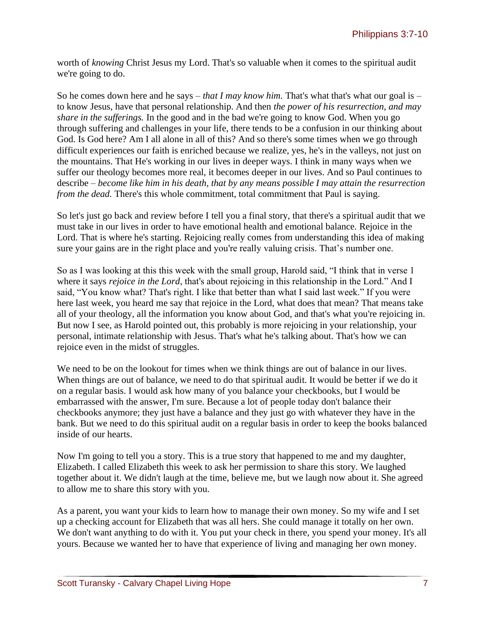worth of *knowing* Christ Jesus my Lord. That's so valuable when it comes to the spiritual audit we're going to do.

So he comes down here and he says – *that I may know him.* That's what that's what our goal is – to know Jesus, have that personal relationship. And then *the power of his resurrection, and may share in the sufferings.* In the good and in the bad we're going to know God. When you go through suffering and challenges in your life, there tends to be a confusion in our thinking about God. Is God here? Am I all alone in all of this? And so there's some times when we go through difficult experiences our faith is enriched because we realize, yes, he's in the valleys, not just on the mountains. That He's working in our lives in deeper ways. I think in many ways when we suffer our theology becomes more real, it becomes deeper in our lives. And so Paul continues to describe – *become like him in his death, that by any means possible I may attain the resurrection from the dead.* There's this whole commitment, total commitment that Paul is saying.

So let's just go back and review before I tell you a final story, that there's a spiritual audit that we must take in our lives in order to have emotional health and emotional balance. Rejoice in the Lord. That is where he's starting. Rejoicing really comes from understanding this idea of making sure your gains are in the right place and you're really valuing crisis. That's number one.

So as I was looking at this this week with the small group, Harold said, "I think that in verse 1 where it says *rejoice in the Lord*, that's about rejoicing in this relationship in the Lord." And I said, "You know what? That's right. I like that better than what I said last week." If you were here last week, you heard me say that rejoice in the Lord, what does that mean? That means take all of your theology, all the information you know about God, and that's what you're rejoicing in. But now I see, as Harold pointed out, this probably is more rejoicing in your relationship, your personal, intimate relationship with Jesus. That's what he's talking about. That's how we can rejoice even in the midst of struggles.

We need to be on the lookout for times when we think things are out of balance in our lives. When things are out of balance, we need to do that spiritual audit. It would be better if we do it on a regular basis. I would ask how many of you balance your checkbooks, but I would be embarrassed with the answer, I'm sure. Because a lot of people today don't balance their checkbooks anymore; they just have a balance and they just go with whatever they have in the bank. But we need to do this spiritual audit on a regular basis in order to keep the books balanced inside of our hearts.

Now I'm going to tell you a story. This is a true story that happened to me and my daughter, Elizabeth. I called Elizabeth this week to ask her permission to share this story. We laughed together about it. We didn't laugh at the time, believe me, but we laugh now about it. She agreed to allow me to share this story with you.

As a parent, you want your kids to learn how to manage their own money. So my wife and I set up a checking account for Elizabeth that was all hers. She could manage it totally on her own. We don't want anything to do with it. You put your check in there, you spend your money. It's all yours. Because we wanted her to have that experience of living and managing her own money.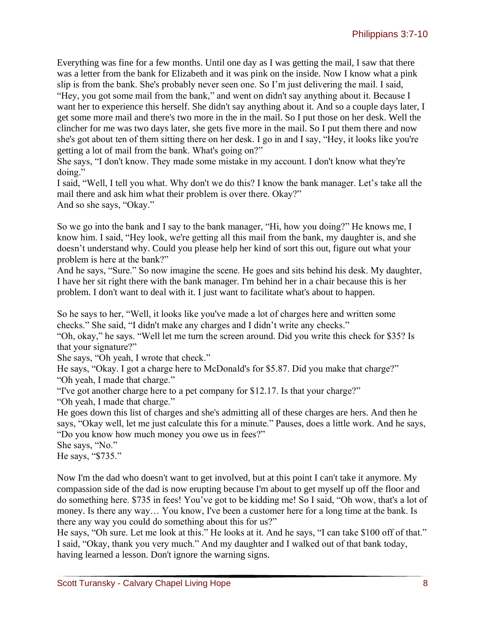Everything was fine for a few months. Until one day as I was getting the mail, I saw that there was a letter from the bank for Elizabeth and it was pink on the inside. Now I know what a pink slip is from the bank. She's probably never seen one. So I'm just delivering the mail. I said,

"Hey, you got some mail from the bank," and went on didn't say anything about it. Because I want her to experience this herself. She didn't say anything about it. And so a couple days later, I get some more mail and there's two more in the in the mail. So I put those on her desk. Well the clincher for me was two days later, she gets five more in the mail. So I put them there and now she's got about ten of them sitting there on her desk. I go in and I say, "Hey, it looks like you're getting a lot of mail from the bank. What's going on?"

She says, "I don't know. They made some mistake in my account. I don't know what they're doing."

I said, "Well, I tell you what. Why don't we do this? I know the bank manager. Let's take all the mail there and ask him what their problem is over there. Okay?" And so she says, "Okay."

So we go into the bank and I say to the bank manager, "Hi, how you doing?" He knows me, I know him. I said, "Hey look, we're getting all this mail from the bank, my daughter is, and she doesn't understand why. Could you please help her kind of sort this out, figure out what your problem is here at the bank?"

And he says, "Sure." So now imagine the scene. He goes and sits behind his desk. My daughter, I have her sit right there with the bank manager. I'm behind her in a chair because this is her problem. I don't want to deal with it. I just want to facilitate what's about to happen.

So he says to her, "Well, it looks like you've made a lot of charges here and written some checks." She said, "I didn't make any charges and I didn't write any checks."

"Oh, okay," he says. "Well let me turn the screen around. Did you write this check for \$35? Is that your signature?"

She says, "Oh yeah, I wrote that check."

He says, "Okay. I got a charge here to McDonald's for \$5.87. Did you make that charge?" "Oh yeah, I made that charge."

"I've got another charge here to a pet company for \$12.17. Is that your charge?"

"Oh yeah, I made that charge."

He goes down this list of charges and she's admitting all of these charges are hers. And then he says, "Okay well, let me just calculate this for a minute." Pauses, does a little work. And he says, "Do you know how much money you owe us in fees?"

She says, "No."

He says, "\$735."

Now I'm the dad who doesn't want to get involved, but at this point I can't take it anymore. My compassion side of the dad is now erupting because I'm about to get myself up off the floor and do something here. \$735 in fees! You've got to be kidding me! So I said, "Oh wow, that's a lot of money. Is there any way… You know, I've been a customer here for a long time at the bank. Is there any way you could do something about this for us?"

He says, "Oh sure. Let me look at this." He looks at it. And he says, "I can take \$100 off of that." I said, "Okay, thank you very much." And my daughter and I walked out of that bank today, having learned a lesson. Don't ignore the warning signs.